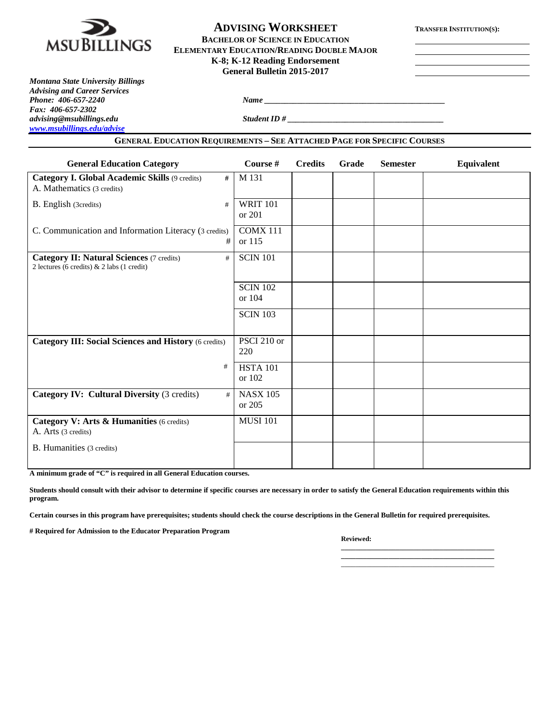

# **ADVISING WORKSHEET TRANSFER INSTITUTION(S):**

**BACHELOR OF SCIENCE IN EDUCATION ELEMENTARY EDUCATION/READING DOUBLE MAJOR K-8; K-12 Reading Endorsement General Bulletin 2015-2017**

*Montana State University Billings Advising and Career Services Fax: 406-657-2302 advising@msubillings.edu Student ID # \_\_\_\_\_\_\_\_\_\_\_\_\_\_\_\_\_\_\_\_\_\_\_\_\_\_\_\_\_\_\_\_\_\_\_\_\_\_ [www.msubillings.edu/advise](http://www.msubillings.edu/advise)*

*Phone <u>2067-2240 <i>Name*</u> <u>2067-2240 *Name* 2067-2240 *Name* 2067-2240 *Name* 2067-2240 *Name* 2067-2240 *Name* 2067-2240 *Name* 2067-2240 *Name* 2067-2240 *Name* 2067-2240 *Name* 2067-2240 *Name* 2</u>

#### **GENERAL EDUCATION REQUIREMENTS – SEE ATTACHED PAGE FOR SPECIFIC COURSES**

| <b>General Education Category</b>                                                                     | Course #                  | <b>Credits</b> | Grade | <b>Semester</b> | Equivalent |
|-------------------------------------------------------------------------------------------------------|---------------------------|----------------|-------|-----------------|------------|
| <b>Category I. Global Academic Skills (9 credits)</b><br>#<br>A. Mathematics (3 credits)              | M 131                     |                |       |                 |            |
| B. English (3credits)<br>#                                                                            | <b>WRIT 101</b><br>or 201 |                |       |                 |            |
| C. Communication and Information Literacy (3 credits)<br>#                                            | <b>COMX 111</b><br>or 115 |                |       |                 |            |
| <b>Category II: Natural Sciences (7 credits)</b><br>#<br>2 lectures (6 credits) $& 2$ labs (1 credit) | <b>SCIN 101</b>           |                |       |                 |            |
|                                                                                                       | <b>SCIN 102</b><br>or 104 |                |       |                 |            |
|                                                                                                       | <b>SCIN 103</b>           |                |       |                 |            |
| <b>Category III: Social Sciences and History (6 credits)</b>                                          | PSCI 210 or<br>220        |                |       |                 |            |
| #                                                                                                     | <b>HSTA 101</b><br>or 102 |                |       |                 |            |
| Category IV: Cultural Diversity (3 credits)<br>#                                                      | <b>NASX 105</b><br>or 205 |                |       |                 |            |
| Category V: Arts & Humanities (6 credits)<br>A. Arts (3 credits)                                      | <b>MUSI 101</b>           |                |       |                 |            |
| B. Humanities (3 credits)                                                                             |                           |                |       |                 |            |

**A minimum grade of "C" is required in all General Education courses.** 

**Students should consult with their advisor to determine if specific courses are necessary in order to satisfy the General Education requirements within this program.**

**Certain courses in this program have prerequisites; students should check the course descriptions in the General Bulletin for required prerequisites.**

**# Required for Admission to the Educator Preparation Program**

**Reviewed:** 

**\_\_\_\_\_\_\_\_\_\_\_\_\_\_\_\_\_\_\_\_\_\_\_\_\_\_\_\_\_\_\_\_\_\_\_\_\_\_\_\_\_\_ \_\_\_\_\_\_\_\_\_\_\_\_\_\_\_\_\_\_\_\_\_\_\_\_\_\_\_\_\_\_\_\_\_\_\_\_\_\_\_\_\_\_** \_\_\_\_\_\_\_\_\_\_\_\_\_\_\_\_\_\_\_\_\_\_\_\_\_\_\_\_\_\_\_\_\_\_\_\_\_\_\_\_\_\_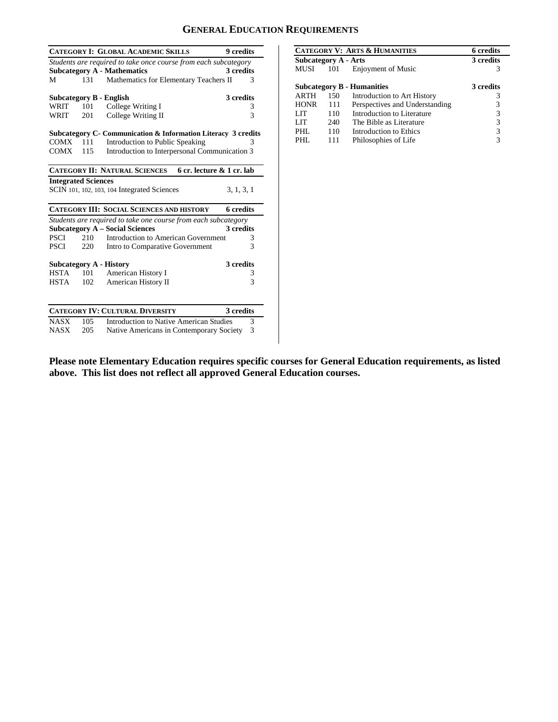## **GENERAL EDUCATION REQUIREMENTS**

|                                                                 |     | <b>CATEGORY I: GLOBAL ACADEMIC SKILLS</b>                         | 9 credits        |  |
|-----------------------------------------------------------------|-----|-------------------------------------------------------------------|------------------|--|
| Students are required to take once course from each subcategory |     |                                                                   |                  |  |
|                                                                 |     | <b>Subcategory A - Mathematics</b>                                | 3 credits        |  |
| М                                                               | 131 | Mathematics for Elementary Teachers II                            | 3                |  |
|                                                                 |     |                                                                   |                  |  |
|                                                                 |     | <b>Subcategory B - English</b>                                    | 3 credits        |  |
| WRIT                                                            | 101 | College Writing I                                                 | 3                |  |
| WRIT                                                            | 201 | College Writing II                                                | $\mathbf{3}$     |  |
|                                                                 |     | Subcategory C- Communication & Information Literacy 3 credits     |                  |  |
| $COMX = 111$                                                    |     | Introduction to Public Speaking                                   |                  |  |
| COMX                                                            | 115 | Introduction to Interpersonal Communication 3                     |                  |  |
|                                                                 |     |                                                                   |                  |  |
|                                                                 |     | 6 cr. lecture & 1 cr. lab<br><b>CATEGORY II: NATURAL SCIENCES</b> |                  |  |
| <b>Integrated Sciences</b>                                      |     |                                                                   |                  |  |
|                                                                 |     | SCIN 101, 102, 103, 104 Integrated Sciences                       | 3, 1, 3, 1       |  |
|                                                                 |     | <b>CATEGORY III: SOCIAL SCIENCES AND HISTORY</b>                  | <b>6</b> credits |  |
|                                                                 |     | Students are required to take one course from each subcategory    |                  |  |
|                                                                 |     | <b>Subcategory A – Social Sciences</b>                            | 3 credits        |  |
| PSCI                                                            | 210 | Introduction to American Government                               | 3                |  |
| PSCI                                                            | 220 | Intro to Comparative Government                                   | 3                |  |
| 3 credits<br>Subcategory A - History                            |     |                                                                   |                  |  |
| <b>HSTA</b>                                                     | 101 | American History I                                                | 3                |  |
| HSTA                                                            | 102 | American History II                                               | 3                |  |
|                                                                 |     |                                                                   |                  |  |
|                                                                 |     | <b>CATEGORY IV: CULTURAL DIVERSITY</b>                            | 3 credits        |  |
| <b>NASX</b>                                                     | 105 | Introduction to Native American Studies                           | 3                |  |
| <b>NASX</b>                                                     | 205 | Native Americans in Contemporary Society                          | 3                |  |

|                                   |     | <b>CATEGORY V: ARTS &amp; HUMANITIES</b> | <b>6</b> credits |
|-----------------------------------|-----|------------------------------------------|------------------|
| Subcategory A - Arts              |     |                                          | 3 credits        |
| MUSI                              | 101 | <b>Enjoyment of Music</b>                | 3                |
|                                   |     |                                          |                  |
| <b>Subcategory B - Humanities</b> |     |                                          | 3 credits        |
| <b>ARTH</b>                       | 150 | Introduction to Art History              | 3                |
| <b>HONR</b>                       | 111 | Perspectives and Understanding           | 3                |
| LIT                               | 110 | Introduction to Literature               | 3                |
| LIT                               | 240 | The Bible as Literature                  | 3                |
| PHL                               | 110 | Introduction to Ethics                   | 3                |
| PHL                               | 111 | Philosophies of Life                     | 3                |

**Please note Elementary Education requires specific courses for General Education requirements, as listed above. This list does not reflect all approved General Education courses.**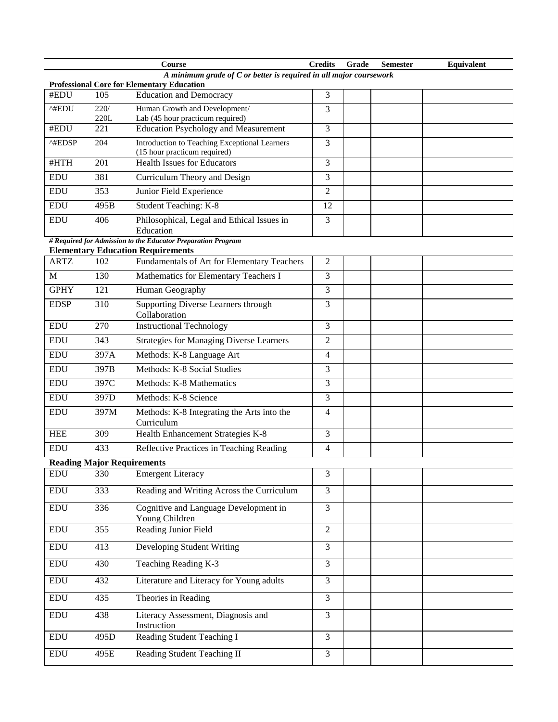|                                                                                                                           |                                   | Course                                                                        | <b>Credits</b> | Grade | <b>Semester</b> | Equivalent |
|---------------------------------------------------------------------------------------------------------------------------|-----------------------------------|-------------------------------------------------------------------------------|----------------|-------|-----------------|------------|
| A minimum grade of $C$ or better is required in all major coursework<br><b>Professional Core for Elementary Education</b> |                                   |                                                                               |                |       |                 |            |
| #EDU                                                                                                                      | 105                               | <b>Education and Democracy</b>                                                | 3              |       |                 |            |
| ^#EDU                                                                                                                     | 220/                              | Human Growth and Development/                                                 | 3              |       |                 |            |
|                                                                                                                           | 220L                              | Lab (45 hour practicum required)                                              |                |       |                 |            |
| #EDU                                                                                                                      | 221                               | <b>Education Psychology and Measurement</b>                                   | 3              |       |                 |            |
| ^#EDSP                                                                                                                    | 204                               | Introduction to Teaching Exceptional Learners<br>(15 hour practicum required) | 3              |       |                 |            |
| #HTH                                                                                                                      | 201                               | <b>Health Issues for Educators</b>                                            | 3              |       |                 |            |
| <b>EDU</b>                                                                                                                | 381                               | Curriculum Theory and Design                                                  | 3              |       |                 |            |
| <b>EDU</b>                                                                                                                | 353                               | Junior Field Experience                                                       | $\overline{2}$ |       |                 |            |
| <b>EDU</b>                                                                                                                | 495B                              | Student Teaching: K-8                                                         | 12             |       |                 |            |
| <b>EDU</b>                                                                                                                | 406                               | Philosophical, Legal and Ethical Issues in<br>Education                       | 3              |       |                 |            |
|                                                                                                                           |                                   | # Required for Admission to the Educator Preparation Program                  |                |       |                 |            |
|                                                                                                                           |                                   | <b>Elementary Education Requirements</b>                                      |                |       |                 |            |
| <b>ARTZ</b>                                                                                                               | 102                               | Fundamentals of Art for Elementary Teachers                                   | $\overline{c}$ |       |                 |            |
| M                                                                                                                         | 130                               | Mathematics for Elementary Teachers I                                         | 3              |       |                 |            |
| <b>GPHY</b>                                                                                                               | 121                               | Human Geography                                                               | 3              |       |                 |            |
| <b>EDSP</b>                                                                                                               | 310                               | Supporting Diverse Learners through<br>Collaboration                          | 3              |       |                 |            |
| <b>EDU</b>                                                                                                                | 270                               | <b>Instructional Technology</b>                                               | 3              |       |                 |            |
| <b>EDU</b>                                                                                                                | 343                               | <b>Strategies for Managing Diverse Learners</b>                               | $\overline{2}$ |       |                 |            |
| <b>EDU</b>                                                                                                                | 397A                              | Methods: K-8 Language Art                                                     | 4              |       |                 |            |
| <b>EDU</b>                                                                                                                | 397B                              | Methods: K-8 Social Studies                                                   | 3              |       |                 |            |
| <b>EDU</b>                                                                                                                | 397C                              | Methods: K-8 Mathematics                                                      | 3              |       |                 |            |
| <b>EDU</b>                                                                                                                | 397D                              | Methods: K-8 Science                                                          | 3              |       |                 |            |
| <b>EDU</b>                                                                                                                | 397M                              | Methods: K-8 Integrating the Arts into the<br>Curriculum                      | 4              |       |                 |            |
| <b>HEE</b>                                                                                                                | 309                               | Health Enhancement Strategies K-8                                             | 3              |       |                 |            |
| <b>EDU</b>                                                                                                                | 433                               | Reflective Practices in Teaching Reading                                      | 4              |       |                 |            |
|                                                                                                                           | <b>Reading Major Requirements</b> |                                                                               |                |       |                 |            |
| <b>EDU</b>                                                                                                                | 330                               | <b>Emergent Literacy</b>                                                      | 3              |       |                 |            |
| <b>EDU</b>                                                                                                                | 333                               | Reading and Writing Across the Curriculum                                     | $\overline{3}$ |       |                 |            |
| <b>EDU</b>                                                                                                                | 336                               | Cognitive and Language Development in<br>Young Children                       | 3              |       |                 |            |
| <b>EDU</b>                                                                                                                | 355                               | Reading Junior Field                                                          | $\overline{2}$ |       |                 |            |
| <b>EDU</b>                                                                                                                | 413                               | Developing Student Writing                                                    | 3              |       |                 |            |
| <b>EDU</b>                                                                                                                | 430                               | Teaching Reading K-3                                                          | $\overline{3}$ |       |                 |            |
| <b>EDU</b>                                                                                                                | 432                               | Literature and Literacy for Young adults                                      | 3              |       |                 |            |
| <b>EDU</b>                                                                                                                | 435                               | Theories in Reading                                                           | $\overline{3}$ |       |                 |            |
| <b>EDU</b>                                                                                                                | 438                               | Literacy Assessment, Diagnosis and<br>Instruction                             | 3              |       |                 |            |
| <b>EDU</b>                                                                                                                | 495D                              | Reading Student Teaching I                                                    | 3              |       |                 |            |
| <b>EDU</b>                                                                                                                | 495E                              | Reading Student Teaching II                                                   | 3              |       |                 |            |